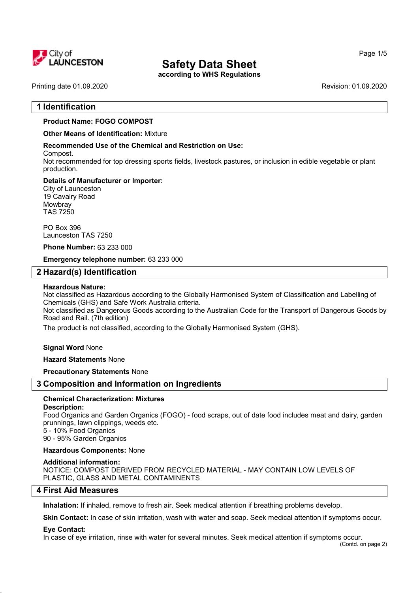

# Safety Data Sheet

according to WHS Regulations

Printing date 01.09.2020 **Revision: 01.09.2020** Revision: 01.09.2020

# 1 Identification

# Product Name: FOGO COMPOST

Other Means of Identification: Mixture

### Recommended Use of the Chemical and Restriction on Use:

Compost.

Not recommended for top dressing sports fields, livestock pastures, or inclusion in edible vegetable or plant production.

### Details of Manufacturer or Importer:

City of Launceston 19 Cavalry Road **Mowbray** TAS 7250

PO Box 396 Launceston TAS 7250

### Phone Number: 63 233 000

Emergency telephone number: 63 233 000

# 2 Hazard(s) Identification

### Hazardous Nature:

Not classified as Hazardous according to the Globally Harmonised System of Classification and Labelling of Chemicals (GHS) and Safe Work Australia criteria.

Not classified as Dangerous Goods according to the Australian Code for the Transport of Dangerous Goods by Road and Rail. (7th edition)

The product is not classified, according to the Globally Harmonised System (GHS).

Signal Word None

Hazard Statements None

Precautionary Statements None

# 3 Composition and Information on Ingredients

## Chemical Characterization: Mixtures

### Description:

Food Organics and Garden Organics (FOGO) - food scraps, out of date food includes meat and dairy, garden prunnings, lawn clippings, weeds etc.

5 - 10% Food Organics 90 - 95% Garden Organics

### Hazardous Components: None

### Additional information:

NOTICE: COMPOST DERIVED FROM RECYCLED MATERIAL - MAY CONTAIN LOW LEVELS OF PLASTIC, GLASS AND METAL CONTAMINENTS

# 4 First Aid Measures

Inhalation: If inhaled, remove to fresh air. Seek medical attention if breathing problems develop.

Skin Contact: In case of skin irritation, wash with water and soap. Seek medical attention if symptoms occur.

### Eye Contact:

In case of eye irritation, rinse with water for several minutes. Seek medical attention if symptoms occur.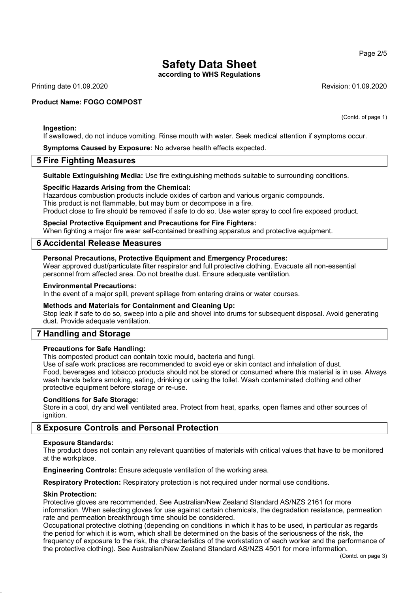# Safety Data Sheet

according to WHS Regulations

Printing date 01.09.2020 Revision: 01.09.2020

### Product Name: FOGO COMPOST

Ingestion:

If swallowed, do not induce vomiting. Rinse mouth with water. Seek medical attention if symptoms occur.

Symptoms Caused by Exposure: No adverse health effects expected.

# 5 Fire Fighting Measures

Suitable Extinguishing Media: Use fire extinguishing methods suitable to surrounding conditions.

### Specific Hazards Arising from the Chemical:

Hazardous combustion products include oxides of carbon and various organic compounds. This product is not flammable, but may burn or decompose in a fire. Product close to fire should be removed if safe to do so. Use water spray to cool fire exposed product.

#### Special Protective Equipment and Precautions for Fire Fighters:

When fighting a major fire wear self-contained breathing apparatus and protective equipment.

# 6 Accidental Release Measures

## Personal Precautions, Protective Equipment and Emergency Procedures:

Wear approved dust/particulate filter respirator and full protective clothing. Evacuate all non-essential personnel from affected area. Do not breathe dust. Ensure adequate ventilation.

#### Environmental Precautions:

In the event of a major spill, prevent spillage from entering drains or water courses.

## Methods and Materials for Containment and Cleaning Up:

Stop leak if safe to do so, sweep into a pile and shovel into drums for subsequent disposal. Avoid generating dust. Provide adequate ventilation.

# 7 Handling and Storage

### Precautions for Safe Handling:

This composted product can contain toxic mould, bacteria and fungi.

Use of safe work practices are recommended to avoid eye or skin contact and inhalation of dust. Food, beverages and tobacco products should not be stored or consumed where this material is in use. Always wash hands before smoking, eating, drinking or using the toilet. Wash contaminated clothing and other protective equipment before storage or re-use.

### Conditions for Safe Storage:

Store in a cool, dry and well ventilated area. Protect from heat, sparks, open flames and other sources of ignition.

# 8 Exposure Controls and Personal Protection

#### Exposure Standards:

The product does not contain any relevant quantities of materials with critical values that have to be monitored at the workplace.

Engineering Controls: Ensure adequate ventilation of the working area.

Respiratory Protection: Respiratory protection is not required under normal use conditions.

### Skin Protection:

Protective gloves are recommended. See Australian/New Zealand Standard AS/NZS 2161 for more information. When selecting gloves for use against certain chemicals, the degradation resistance, permeation rate and permeation breakthrough time should be considered.

Occupational protective clothing (depending on conditions in which it has to be used, in particular as regards the period for which it is worn, which shall be determined on the basis of the seriousness of the risk, the frequency of exposure to the risk, the characteristics of the workstation of each worker and the performance of the protective clothing). See Australian/New Zealand Standard AS/NZS 4501 for more information.

(Contd. of page 1)

Page 2/5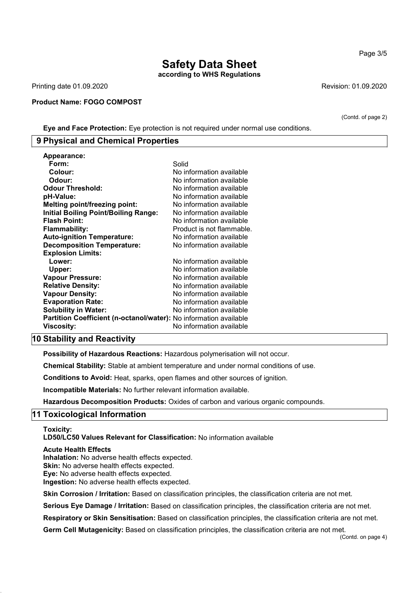# Safety Data Sheet according to WHS Regulations

Printing date 01.09.2020 **Revision: 01.09.2020** Revision: 01.09.2020

#### Product Name: FOGO COMPOST

(Contd. of page 2)

Eye and Face Protection: Eye protection is not required under normal use conditions.

# 9 Physical and Chemical Properties

| Appearance:                                                              |                           |
|--------------------------------------------------------------------------|---------------------------|
| Form:                                                                    | Solid                     |
| Colour:                                                                  | No information available  |
| Odour:                                                                   | No information available  |
| <b>Odour Threshold:</b>                                                  | No information available  |
| pH-Value:                                                                | No information available  |
| <b>Melting point/freezing point:</b>                                     | No information available  |
| <b>Initial Boiling Point/Boiling Range:</b>                              | No information available  |
| <b>Flash Point:</b>                                                      | No information available  |
| <b>Flammability:</b>                                                     | Product is not flammable. |
| <b>Auto-ignition Temperature:</b>                                        | No information available  |
| <b>Decomposition Temperature:</b>                                        | No information available  |
| <b>Explosion Limits:</b>                                                 |                           |
| Lower:                                                                   | No information available  |
| Upper:                                                                   | No information available  |
| Vapour Pressure:                                                         | No information available  |
| <b>Relative Density:</b>                                                 | No information available  |
| <b>Vapour Density:</b>                                                   | No information available  |
| <b>Evaporation Rate:</b>                                                 | No information available  |
| <b>Solubility in Water:</b>                                              | No information available  |
| <b>Partition Coefficient (n-octanol/water):</b> No information available |                           |
| Viscosity:                                                               | No information available  |

# 10 Stability and Reactivity

Possibility of Hazardous Reactions: Hazardous polymerisation will not occur.

Chemical Stability: Stable at ambient temperature and under normal conditions of use.

Conditions to Avoid: Heat, sparks, open flames and other sources of ignition.

Incompatible Materials: No further relevant information available.

Hazardous Decomposition Products: Oxides of carbon and various organic compounds.

# 11 Toxicological Information

Toxicity:

LD50/LC50 Values Relevant for Classification: No information available

#### Acute Health Effects

Inhalation: No adverse health effects expected. Skin: No adverse health effects expected. Eye: No adverse health effects expected. Ingestion: No adverse health effects expected.

Skin Corrosion / Irritation: Based on classification principles, the classification criteria are not met.

Serious Eye Damage / Irritation: Based on classification principles, the classification criteria are not met.

Respiratory or Skin Sensitisation: Based on classification principles, the classification criteria are not met.

Germ Cell Mutagenicity: Based on classification principles, the classification criteria are not met.

#### Page 3/5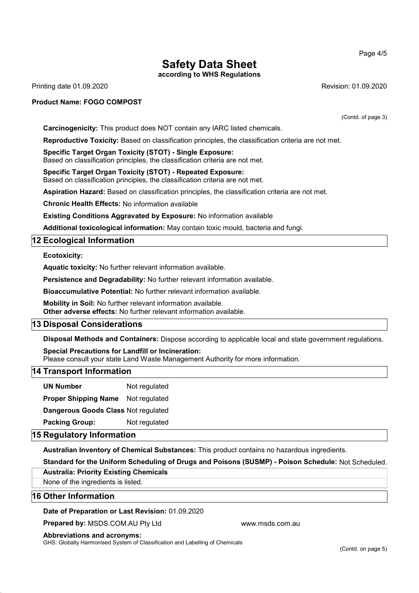Page 4/5

# Safety Data Sheet

according to WHS Regulations

Printing date 01.09.2020 Revision: 01.09.2020

## Product Name: FOGO COMPOST

(Contd. of page 3)

Carcinogenicity: This product does NOT contain any IARC listed chemicals.

Reproductive Toxicity: Based on classification principles, the classification criteria are not met.

Specific Target Organ Toxicity (STOT) - Single Exposure: Based on classification principles, the classification criteria are not met.

Specific Target Organ Toxicity (STOT) - Repeated Exposure: Based on classification principles, the classification criteria are not met.

Aspiration Hazard: Based on classification principles, the classification criteria are not met.

Chronic Health Effects: No information available

Existing Conditions Aggravated by Exposure: No information available

Additional toxicological information: May contain toxic mould, bacteria and fungi.

# 12 Ecological Information

Ecotoxicity:

Aquatic toxicity: No further relevant information available.

Persistence and Degradability: No further relevant information available.

Bioaccumulative Potential: No further relevant information available.

Mobility in Soil: No further relevant information available. Other adverse effects: No further relevant information available.

# 13 Disposal Considerations

Disposal Methods and Containers: Dispose according to applicable local and state government regulations.

Special Precautions for Landfill or Incineration: Please consult your state Land Waste Management Authority for more information.

# 14 Transport Information

UN Number Not regulated

Proper Shipping Name Not regulated

Dangerous Goods Class Not regulated

Packing Group: Not regulated

# 15 Regulatory Information

Australian Inventory of Chemical Substances: This product contains no hazardous ingredients.

Standard for the Uniform Scheduling of Drugs and Poisons (SUSMP) - Poison Schedule: Not Scheduled.

### Australia: Priority Existing Chemicals

None of the ingredients is listed.

# 16 Other Information

### Date of Preparation or Last Revision: 01.09.2020

**Prepared by: MSDS.COM.AU Pty Ltd www.msds.com.au** 

#### Abbreviations and acronyms:

GHS: Globally Harmonised System of Classification and Labelling of Chemicals